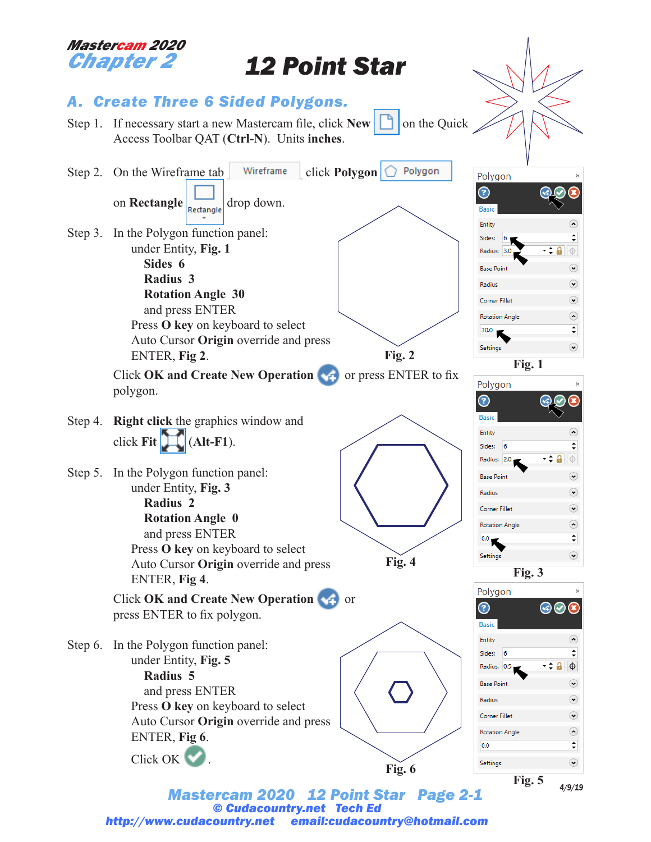

*Mastercam 2020 12 Point Star Page 2-1 © Cudacountry.net Tech Ed http://www.cudacountry.net email:cudacountry@hotmail.com* *4/9/19*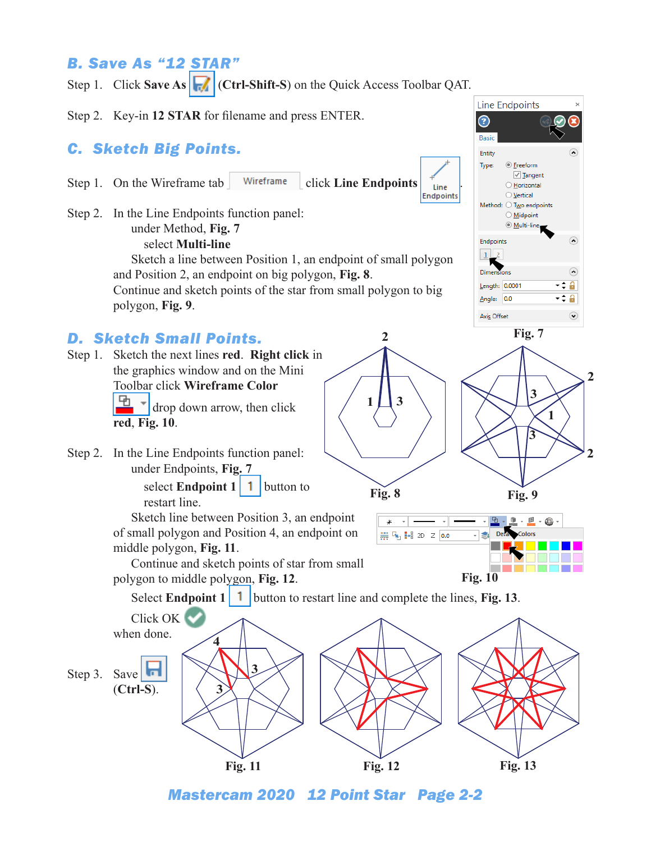## *B. Save As "12 STAR"*

Step 1. Click **Save As F** (Ctrl-Shift-S) on the Quick Access Toolbar QAT.

Step 2. Key-in **12 STAR** for filename and press ENTER.

## *C. Sketch Big Points.*

- Step 1. On the Wireframe tab  $\int$  Wireframe click **Line Endpoints**  $\int_{\text{Line}}^{\text{f}}$
- Step 2. In the Line Endpoints function panel: under Method, **Fig. 7** select **Multi-line** Sketch a line between Position 1, an endpoint of small polygon

and Position 2, an endpoint on big polygon, **Fig. 8**. Continue and sketch points of the star from small polygon to big polygon, **Fig. 9**.

## *D. Sketch Small Points.*

- Step 1. Sketch the next lines **red**. **Right click** in the graphics window and on the Mini Toolbar click **Wireframe Color** drop down arrow, then click **red**, **Fig. 10**.
- Step 2. In the Line Endpoints function panel: under Endpoints, **Fig. 7** select **Endpoint 1 1** button to

restart line. Sketch line between Position 3, an endpoint of small polygon and Position 4, an endpoint on middle polygon, **Fig. 11**.

Continue and sketch points of star from small polygon to middle polygon, **Fig. 12**.

Select **Endpoint 1 1** button to restart line and complete the lines, **Fig. 13**.

**1**

**2**

**3**

₩ 5 1+8 2D Z 0.0

**Fig. 8 Fig. 9**

**Fig. 10**

**1**

**3**

**Fig. 7**

**Line Endpoints** 

◎ **Freeform** 

Method: O Two endpoints  $\bigcirc$  Midpoint **Multi-line** 

 $\sqrt{ }$  Tangent O Horizontal ◯ <u>V</u>ertical

☉ Basi Entity

Type:

Endpoints

Length: 0.0001  $Angle: 0.0$ 

Axis Offset

 $\vert 1 \vert$ Dimensions

Endpoints

**3**

 $\underline{\bullet}$  .  $\underline{\bullet}$  .  $\underline{\bullet}$  .

Dela Colors

**2**

 $\widehat{\phantom{a}}$ 

 $\odot$ -÷ **a** 

 $\odot$ 

∙≑ 8

**2**



*Mastercam 2020 12 Point Star Page 2-2*